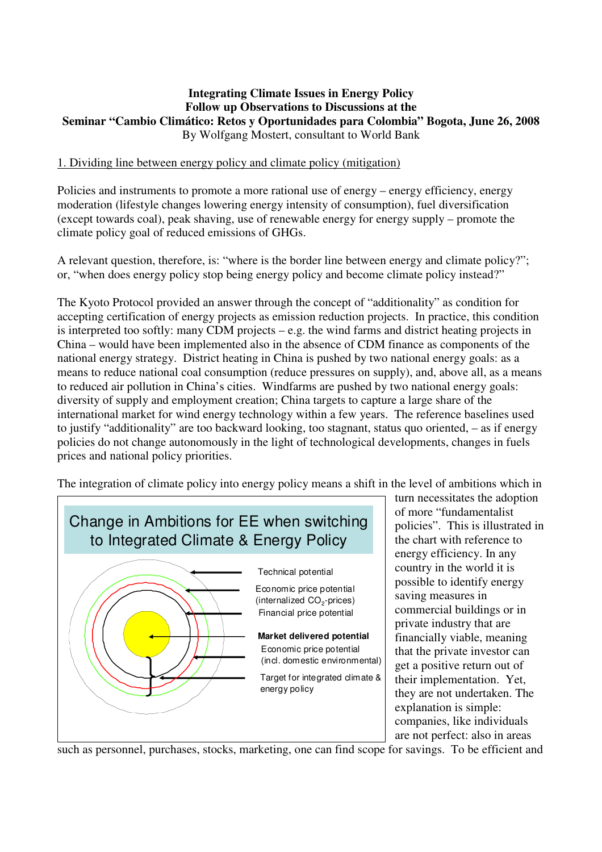#### **Integrating Climate Issues in Energy Policy Follow up Observations to Discussions at the Seminar "Cambio Climático: Retos y Oportunidades para Colombia" Bogota, June 26, 2008**  By Wolfgang Mostert, consultant to World Bank

### 1. Dividing line between energy policy and climate policy (mitigation)

Policies and instruments to promote a more rational use of energy – energy efficiency, energy moderation (lifestyle changes lowering energy intensity of consumption), fuel diversification (except towards coal), peak shaving, use of renewable energy for energy supply – promote the climate policy goal of reduced emissions of GHGs.

A relevant question, therefore, is: "where is the border line between energy and climate policy?"; or, "when does energy policy stop being energy policy and become climate policy instead?"

The Kyoto Protocol provided an answer through the concept of "additionality" as condition for accepting certification of energy projects as emission reduction projects. In practice, this condition is interpreted too softly: many CDM projects – e.g. the wind farms and district heating projects in China – would have been implemented also in the absence of CDM finance as components of the national energy strategy. District heating in China is pushed by two national energy goals: as a means to reduce national coal consumption (reduce pressures on supply), and, above all, as a means to reduced air pollution in China's cities. Windfarms are pushed by two national energy goals: diversity of supply and employment creation; China targets to capture a large share of the international market for wind energy technology within a few years. The reference baselines used to justify "additionality" are too backward looking, too stagnant, status quo oriented, – as if energy policies do not change autonomously in the light of technological developments, changes in fuels prices and national policy priorities.

The integration of climate policy into energy policy means a shift in the level of ambitions which in



turn necessitates the adoption of more "fundamentalist policies". This is illustrated in the chart with reference to energy efficiency. In any country in the world it is possible to identify energy saving measures in commercial buildings or in private industry that are financially viable, meaning that the private investor can get a positive return out of their implementation. Yet, they are not undertaken. The explanation is simple: companies, like individuals are not perfect: also in areas

such as personnel, purchases, stocks, marketing, one can find scope for savings. To be efficient and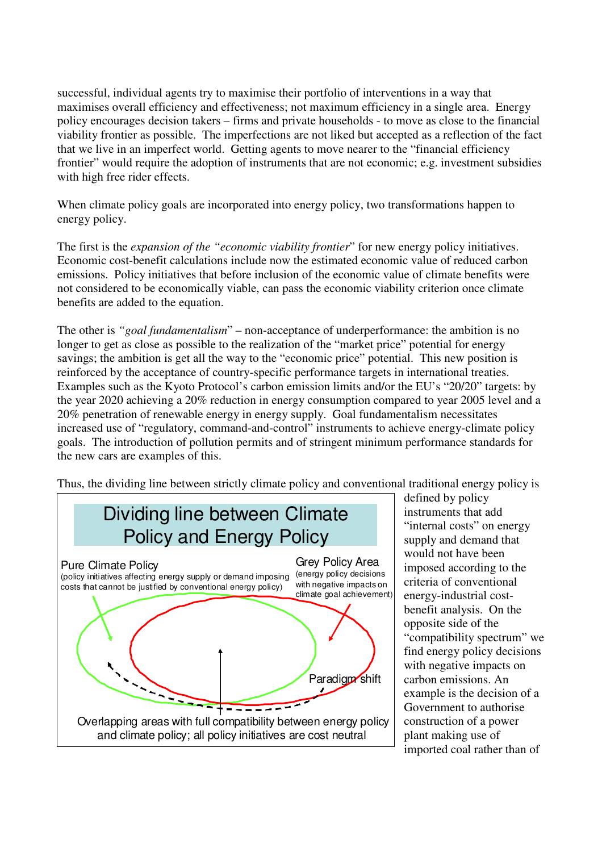successful, individual agents try to maximise their portfolio of interventions in a way that maximises overall efficiency and effectiveness; not maximum efficiency in a single area. Energy policy encourages decision takers – firms and private households - to move as close to the financial viability frontier as possible. The imperfections are not liked but accepted as a reflection of the fact that we live in an imperfect world. Getting agents to move nearer to the "financial efficiency frontier" would require the adoption of instruments that are not economic; e.g. investment subsidies with high free rider effects.

When climate policy goals are incorporated into energy policy, two transformations happen to energy policy.

The first is the *expansion of the "economic viability frontier*" for new energy policy initiatives. Economic cost-benefit calculations include now the estimated economic value of reduced carbon emissions. Policy initiatives that before inclusion of the economic value of climate benefits were not considered to be economically viable, can pass the economic viability criterion once climate benefits are added to the equation.

The other is *"goal fundamentalism*" – non-acceptance of underperformance: the ambition is no longer to get as close as possible to the realization of the "market price" potential for energy savings; the ambition is get all the way to the "economic price" potential. This new position is reinforced by the acceptance of country-specific performance targets in international treaties. Examples such as the Kyoto Protocol's carbon emission limits and/or the EU's "20/20" targets: by the year 2020 achieving a 20% reduction in energy consumption compared to year 2005 level and a 20% penetration of renewable energy in energy supply. Goal fundamentalism necessitates increased use of "regulatory, command-and-control" instruments to achieve energy-climate policy goals. The introduction of pollution permits and of stringent minimum performance standards for the new cars are examples of this.

Thus, the dividing line between strictly climate policy and conventional traditional energy policy is



defined by policy instruments that add "internal costs" on energy supply and demand that would not have been imposed according to the criteria of conventional energy-industrial costbenefit analysis. On the opposite side of the "compatibility spectrum" we find energy policy decisions with negative impacts on carbon emissions. An example is the decision of a Government to authorise construction of a power plant making use of imported coal rather than of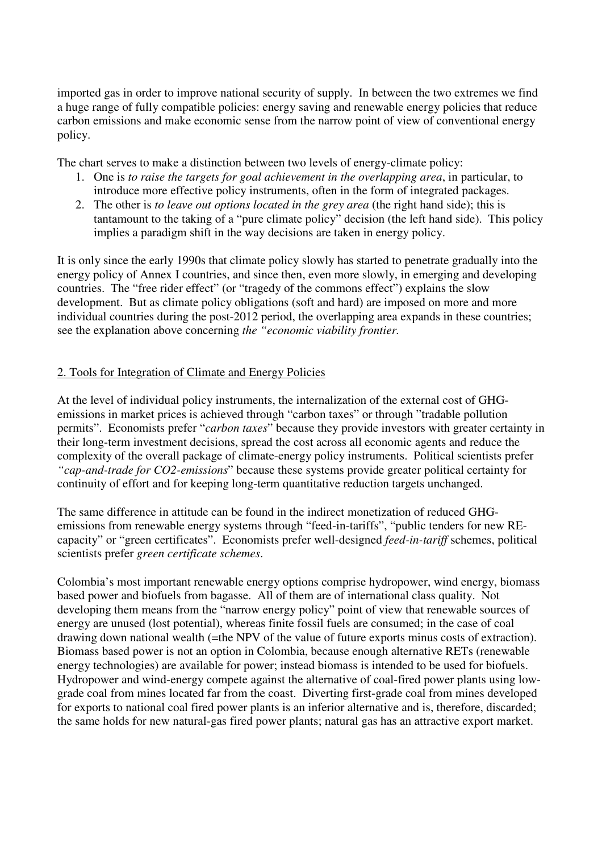imported gas in order to improve national security of supply. In between the two extremes we find a huge range of fully compatible policies: energy saving and renewable energy policies that reduce carbon emissions and make economic sense from the narrow point of view of conventional energy policy.

The chart serves to make a distinction between two levels of energy-climate policy:

- 1. One is *to raise the targets for goal achievement in the overlapping area*, in particular, to introduce more effective policy instruments, often in the form of integrated packages.
- 2. The other is *to leave out options located in the grey area* (the right hand side); this is tantamount to the taking of a "pure climate policy" decision (the left hand side). This policy implies a paradigm shift in the way decisions are taken in energy policy.

It is only since the early 1990s that climate policy slowly has started to penetrate gradually into the energy policy of Annex I countries, and since then, even more slowly, in emerging and developing countries. The "free rider effect" (or "tragedy of the commons effect") explains the slow development. But as climate policy obligations (soft and hard) are imposed on more and more individual countries during the post-2012 period, the overlapping area expands in these countries; see the explanation above concerning *the "economic viability frontier.* 

#### 2. Tools for Integration of Climate and Energy Policies

At the level of individual policy instruments, the internalization of the external cost of GHGemissions in market prices is achieved through "carbon taxes" or through "tradable pollution permits". Economists prefer "*carbon taxes*" because they provide investors with greater certainty in their long-term investment decisions, spread the cost across all economic agents and reduce the complexity of the overall package of climate-energy policy instruments. Political scientists prefer *"cap-and-trade for CO2-emissions*" because these systems provide greater political certainty for continuity of effort and for keeping long-term quantitative reduction targets unchanged.

The same difference in attitude can be found in the indirect monetization of reduced GHGemissions from renewable energy systems through "feed-in-tariffs", "public tenders for new REcapacity" or "green certificates". Economists prefer well-designed *feed-in-tariff* schemes, political scientists prefer *green certificate schemes*.

Colombia's most important renewable energy options comprise hydropower, wind energy, biomass based power and biofuels from bagasse. All of them are of international class quality. Not developing them means from the "narrow energy policy" point of view that renewable sources of energy are unused (lost potential), whereas finite fossil fuels are consumed; in the case of coal drawing down national wealth (=the NPV of the value of future exports minus costs of extraction). Biomass based power is not an option in Colombia, because enough alternative RETs (renewable energy technologies) are available for power; instead biomass is intended to be used for biofuels. Hydropower and wind-energy compete against the alternative of coal-fired power plants using lowgrade coal from mines located far from the coast. Diverting first-grade coal from mines developed for exports to national coal fired power plants is an inferior alternative and is, therefore, discarded; the same holds for new natural-gas fired power plants; natural gas has an attractive export market.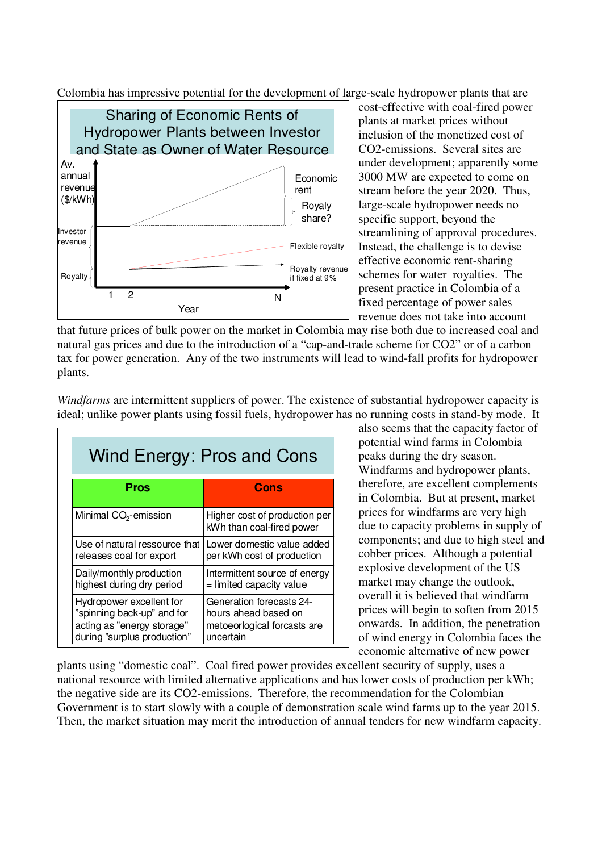Colombia has impressive potential for the development of large-scale hydropower plants that are



cost-effective with coal-fired power plants at market prices without inclusion of the monetized cost of CO2-emissions. Several sites are under development; apparently some 3000 MW are expected to come on stream before the year 2020. Thus, large-scale hydropower needs no specific support, beyond the streamlining of approval procedures. Instead, the challenge is to devise effective economic rent-sharing schemes for water royalties. The present practice in Colombia of a fixed percentage of power sales revenue does not take into account

that future prices of bulk power on the market in Colombia may rise both due to increased coal and natural gas prices and due to the introduction of a "cap-and-trade scheme for CO2" or of a carbon tax for power generation. Any of the two instruments will lead to wind-fall profits for hydropower plants.

| Wind Energy: Pros and Cons        |                                                            |  |  |
|-----------------------------------|------------------------------------------------------------|--|--|
| Pros                              | Cons                                                       |  |  |
| Minimal CO <sub>2</sub> -emission | Higher cost of production per<br>kWh than coal-fired power |  |  |
| Use of natural ressource that     | Lower domestic value added                                 |  |  |
| releases coal for export          | per kWh cost of production                                 |  |  |
| Daily/monthly production          | Intermittent source of energy                              |  |  |
| highest during dry period         | = limited capacity value                                   |  |  |
| Hydropower excellent for          | Generation forecasts 24-                                   |  |  |
| "spinning back-up" and for        | hours ahead based on                                       |  |  |
| acting as "energy storage"        | metoeorlogical forcasts are                                |  |  |
| during "surplus production"       | uncertain                                                  |  |  |

*Windfarms* are intermittent suppliers of power. The existence of substantial hydropower capacity is ideal; unlike power plants using fossil fuels, hydropower has no running costs in stand-by mode. It

also seems that the capacity factor of potential wind farms in Colombia peaks during the dry season. Windfarms and hydropower plants, therefore, are excellent complements in Colombia. But at present, market prices for windfarms are very high due to capacity problems in supply of components; and due to high steel and cobber prices. Although a potential explosive development of the US market may change the outlook, overall it is believed that windfarm prices will begin to soften from 2015 onwards. In addition, the penetration of wind energy in Colombia faces the economic alternative of new power

plants using "domestic coal". Coal fired power provides excellent security of supply, uses a national resource with limited alternative applications and has lower costs of production per kWh; the negative side are its CO2-emissions. Therefore, the recommendation for the Colombian Government is to start slowly with a couple of demonstration scale wind farms up to the year 2015. Then, the market situation may merit the introduction of annual tenders for new windfarm capacity.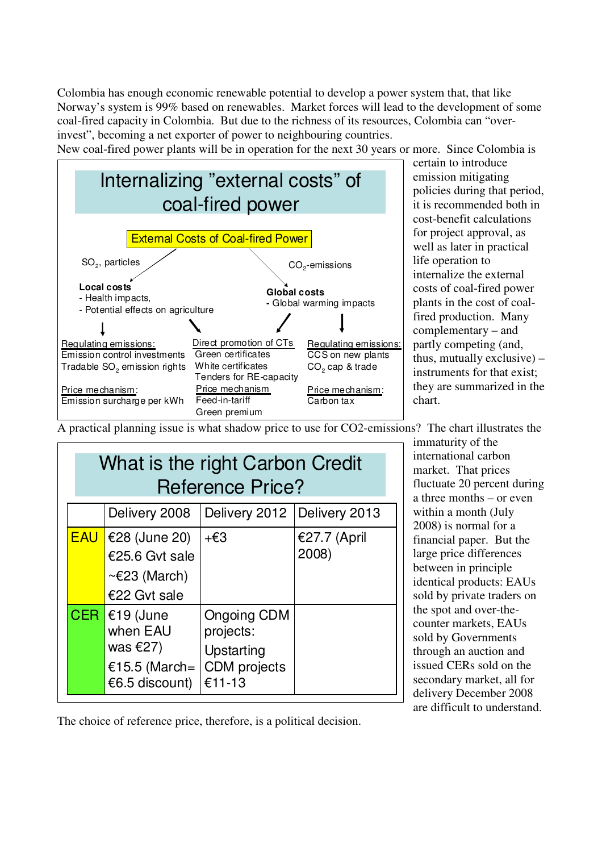Colombia has enough economic renewable potential to develop a power system that, that like Norway's system is 99% based on renewables. Market forces will lead to the development of some coal-fired capacity in Colombia. But due to the richness of its resources, Colombia can "overinvest", becoming a net exporter of power to neighbouring countries.

New coal-fired power plants will be in operation for the next 30 years or more. Since Colombia is



certain to introduce emission mitigating policies during that period, it is recommended both in cost-benefit calculations for project approval, as well as later in practical life operation to internalize the external costs of coal-fired power plants in the cost of coalfired production. Many complementary – and partly competing (and, thus, mutually exclusive) – instruments for that exist; they are summarized in the chart.

A practical planning issue is what shadow price to use for CO2-emissions? The chart illustrates the

| What is the right Carbon Credit<br><b>Reference Price?</b> |                                                                               |                                                                                |                       |  |
|------------------------------------------------------------|-------------------------------------------------------------------------------|--------------------------------------------------------------------------------|-----------------------|--|
|                                                            | Delivery 2008                                                                 | Delivery 2012   Delivery 2013                                                  |                       |  |
| <b>EAU</b>                                                 | €28 (June 20)<br>€25.6 Gvt sale<br>$\sim \epsilon$ 23 (March)<br>€22 Gvt sale | +€3                                                                            | €27.7 (April<br>2008) |  |
| <b>CER</b>                                                 | €19 (June<br>when EAU<br>was $E(27)$<br>€15.5 (March=<br>€6.5 discount)       | <b>Ongoing CDM</b><br>projects:<br>Upstarting<br><b>CDM</b> projects<br>€11-13 |                       |  |

immaturity of the international carbon market. That prices fluctuate 20 percent during a three months – or even within a month (July 2008) is normal for a financial paper. But the large price differences between in principle identical products: EAUs sold by private traders on the spot and over-thecounter markets, EAUs sold by Governments through an auction and issued CERs sold on the secondary market, all for delivery December 2008 are difficult to understand.

The choice of reference price, therefore, is a political decision.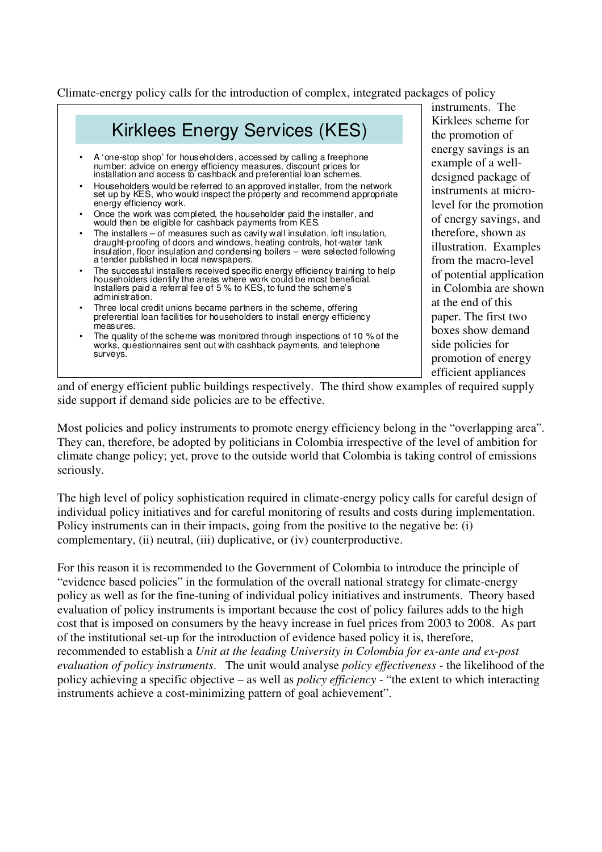Climate-energy policy calls for the introduction of complex, integrated packages of policy



instruments. The Kirklees scheme for the promotion of energy savings is an example of a welldesigned package of instruments at microlevel for the promotion of energy savings, and therefore, shown as illustration. Examples from the macro-level of potential application in Colombia are shown at the end of this paper. The first two boxes show demand side policies for promotion of energy efficient appliances

and of energy efficient public buildings respectively. The third show examples of required supply side support if demand side policies are to be effective.

Most policies and policy instruments to promote energy efficiency belong in the "overlapping area". They can, therefore, be adopted by politicians in Colombia irrespective of the level of ambition for climate change policy; yet, prove to the outside world that Colombia is taking control of emissions seriously.

The high level of policy sophistication required in climate-energy policy calls for careful design of individual policy initiatives and for careful monitoring of results and costs during implementation. Policy instruments can in their impacts, going from the positive to the negative be: (i) complementary, (ii) neutral, (iii) duplicative, or (iv) counterproductive.

For this reason it is recommended to the Government of Colombia to introduce the principle of "evidence based policies" in the formulation of the overall national strategy for climate-energy policy as well as for the fine-tuning of individual policy initiatives and instruments. Theory based evaluation of policy instruments is important because the cost of policy failures adds to the high cost that is imposed on consumers by the heavy increase in fuel prices from 2003 to 2008. As part of the institutional set-up for the introduction of evidence based policy it is, therefore, recommended to establish a *Unit at the leading University in Colombia for ex-ante and ex-post evaluation of policy instruments*. The unit would analyse *policy effectiveness -* the likelihood of the policy achieving a specific objective – as well as *policy efficiency* - "the extent to which interacting instruments achieve a cost-minimizing pattern of goal achievement".